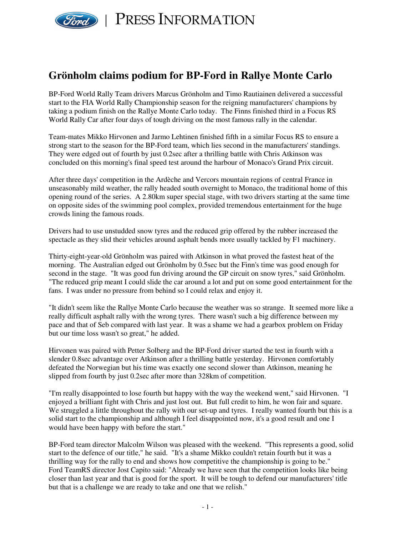

PRESS INFORMATION

# **Grönholm claims podium for BP-Ford in Rallye Monte Carlo**

BP-Ford World Rally Team drivers Marcus Grönholm and Timo Rautiainen delivered a successful start to the FIA World Rally Championship season for the reigning manufacturers' champions by taking a podium finish on the Rallye Monte Carlo today. The Finns finished third in a Focus RS World Rally Car after four days of tough driving on the most famous rally in the calendar.

Team-mates Mikko Hirvonen and Jarmo Lehtinen finished fifth in a similar Focus RS to ensure a strong start to the season for the BP-Ford team, which lies second in the manufacturers' standings. They were edged out of fourth by just 0.2sec after a thrilling battle with Chris Atkinson was concluded on this morning's final speed test around the harbour of Monaco's Grand Prix circuit.

After three days' competition in the Ardèche and Vercors mountain regions of central France in unseasonably mild weather, the rally headed south overnight to Monaco, the traditional home of this opening round of the series. A 2.80km super special stage, with two drivers starting at the same time on opposite sides of the swimming pool complex, provided tremendous entertainment for the huge crowds lining the famous roads.

Drivers had to use unstudded snow tyres and the reduced grip offered by the rubber increased the spectacle as they slid their vehicles around asphalt bends more usually tackled by F1 machinery.

Thirty-eight-year-old Grönholm was paired with Atkinson in what proved the fastest heat of the morning. The Australian edged out Grönholm by 0.5sec but the Finn's time was good enough for second in the stage. "It was good fun driving around the GP circuit on snow tyres," said Grönholm. "The reduced grip meant I could slide the car around a lot and put on some good entertainment for the fans. I was under no pressure from behind so I could relax and enjoy it.

"It didn't seem like the Rallye Monte Carlo because the weather was so strange. It seemed more like a really difficult asphalt rally with the wrong tyres. There wasn't such a big difference between my pace and that of Seb compared with last year. It was a shame we had a gearbox problem on Friday but our time loss wasn't so great," he added.

Hirvonen was paired with Petter Solberg and the BP-Ford driver started the test in fourth with a slender 0.8sec advantage over Atkinson after a thrilling battle yesterday. Hirvonen comfortably defeated the Norwegian but his time was exactly one second slower than Atkinson, meaning he slipped from fourth by just 0.2sec after more than 328km of competition.

"I'm really disappointed to lose fourth but happy with the way the weekend went," said Hirvonen. "I enjoyed a brilliant fight with Chris and just lost out. But full credit to him, he won fair and square. We struggled a little throughout the rally with our set-up and tyres. I really wanted fourth but this is a solid start to the championship and although I feel disappointed now, it's a good result and one I would have been happy with before the start."

BP-Ford team director Malcolm Wilson was pleased with the weekend. "This represents a good, solid start to the defence of our title," he said. "It's a shame Mikko couldn't retain fourth but it was a thrilling way for the rally to end and shows how competitive the championship is going to be." Ford TeamRS director Jost Capito said: "Already we have seen that the competition looks like being closer than last year and that is good for the sport. It will be tough to defend our manufacturers' title but that is a challenge we are ready to take and one that we relish."